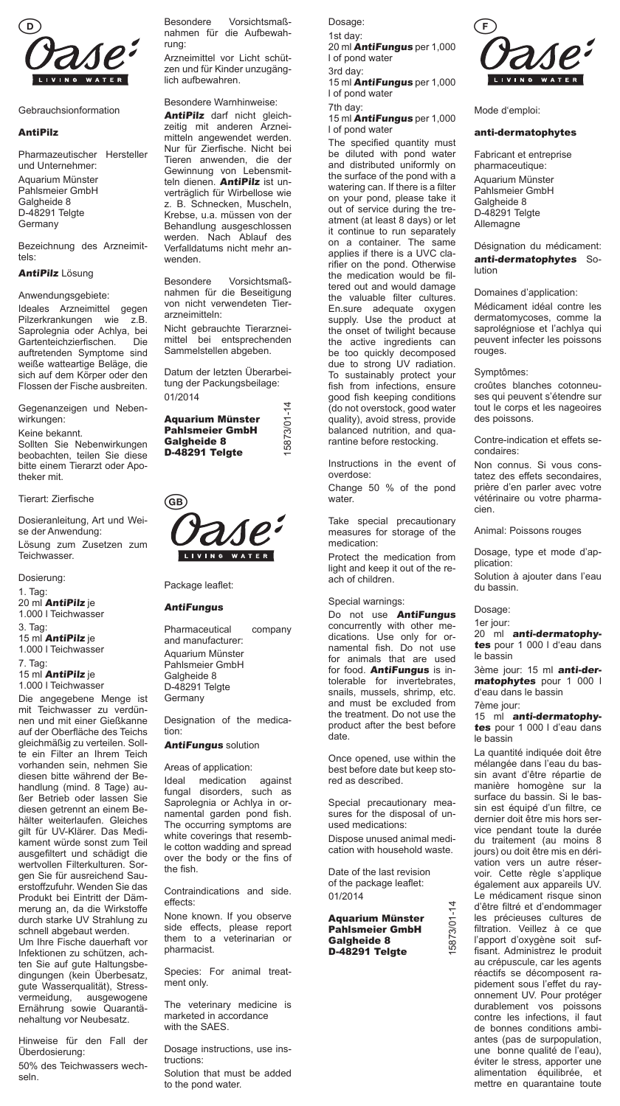

Gebrauchsionformation

### AntiPilz

Pharmazeutischer Hersteller und Unternehmer: Aquarium Münster Pahlsmeier GmbH Galgheide 8 D-48291 Telgte Germany

Bezeichnung des Arzneimittels:

# AntiPilz Lösung

Anwendungsgebiete: Ideales Arzneimittel gegen Pilzerkrankungen wie z.B. Saprolegnia oder Achlya, bei<br>Gartenteichzierfischen. Die Gartenteichzierfischen. auftretenden Symptome sind weiße watteartige Beläge, die sich auf dem Körper oder den Flossen der Fische ausbreiten.

Gegenanzeigen und Nebenwirkungen:

Keine bekannt. Sollten Sie Nebenwirkungen beobachten, teilen Sie diese bitte einem Tierarzt oder Apotheker mit.

## Tierart: Zierfische

Dosieranleitung, Art und Weise der Anwendung: Lösung zum Zusetzen zum

Teichwasser.

Dosierung:

1. Tag: 20 ml AntiPilz je 1.000 l Teichwasser

3. Tag: 15 ml **AntiPilz** je

1.000 l Teichwasser

7. Tag: 15 ml **AntiPilz** je

1.000 l Teichwasser

Die angegebene Menge ist mit Teichwasser zu verdünnen und mit einer Gießkanne auf der Oberfläche des Teichs gleichmäßig zu verteilen. Sollte ein Filter an Ihrem Teich vorhanden sein, nehmen Sie diesen bitte während der Behandlung (mind. 8 Tage) außer Betrieb oder lassen Sie diesen getrennt an einem Behälter weiterlaufen. Gleiches gilt für UV-Klärer. Das Medikament würde sonst zum Teil ausgefiltert und schädigt die wertvollen Filterkulturen. Sorgen Sie für ausreichend Sauerstoffzufuhr. Wenden Sie das Produkt bei Eintritt der Dämmerung an, da die Wirkstoffe durch starke UV Strahlung zu schnell abgebaut werden.

Um Ihre Fische dauerhaft vor Infektionen zu schützen, achten Sie auf gute Haltungsbedingungen (kein Überbesatz, gute Wasserqualität), Stressvermeidung, ausgewogene Ernährung sowie Quarantänehaltung vor Neubesatz.

Hinweise für den Fall der Überdosierung:

50% des Teichwassers wechseln.

Besondere Vorsichtsmaßnahmen für die Aufbewahrung:

Arzneimittel vor Licht schützen und für Kinder unzugänglich aufbewahren.

Besondere Warnhinweise:

AntiPilz darf nicht gleichzeitig mit anderen Arzneimitteln angewendet werden. Nur für Zierfische. Nicht bei Tieren anwenden, die der Gewinnung von Lebensmitteln dienen. AntiPilz ist unverträglich für Wirbellose wie z. B. Schnecken, Muscheln, Krebse, u.a. müssen von der Behandlung ausgeschlossen werden. Nach Ablauf des Verfalldatums nicht mehr anwenden.

Besondere Vorsichtsmaßnahmen für die Beseitigung von nicht verwendeten Tierarzneimitteln:

Nicht gebrauchte Tierarzneimittel bei entsprechenden Sammelstellen abgeben.

Datum der letzten Überarbeitung der Packungsbeilage: 01/2014

| <b>Aquarium Münster</b> |
|-------------------------|
| <b>Pahlsmeier GmbH</b>  |
| Galgheide 8             |
| D-48291 Telgte          |

15873/01-14

5873/01-14



Package leaflet:

# **AntiFungus**

Pharmaceutical company and manufacturer: Aquarium Münster Pahlsmeier GmbH Galgheide 8 D-48291 Telgte Germany

Designation of the medication:

# **AntiFungus solution**

Areas of application:

Ideal medication against fungal disorders, such as Saprolegnia or Achlya in ornamental garden pond fish. The occurring symptoms are white coverings that resemble cotton wadding and spread over the body or the fins of the fish

Contraindications and side. effects:

None known. If you observe side effects, please report them to a veterinarian or pharmacist.

Species: For animal treatment only.

The veterinary medicine is marketed in accordance with the SAES.

Dosage instructions, use instructions:

Solution that must be added to the pond water.

Dosage: 1st day: 20 ml AntiFungus per 1,000 l of pond water 3rd day: 15 ml **AntiFungus** per 1,000

l of pond water 7th day: 15 ml **AntiFungus** per 1,000

l of pond water The specified quantity must be diluted with pond water and distributed uniformly on the surface of the pond with a watering can. If there is a filter on your pond, please take it out of service during the treatment (at least 8 days) or let it continue to run separately on a container. The same applies if there is a UVC clarifier on the pond. Otherwise the medication would be filtered out and would damage the valuable filter cultures. En.sure adequate oxygen supply. Use the product at the onset of twilight because the active ingredients can be too quickly decomposed due to strong UV radiation. To sustainably protect your fish from infections, ensure good fish keeping conditions (do not overstock, good water quality), avoid stress, provide balanced nutrition, and quarantine before restocking.

Instructions in the event of overdose:

Change 50 % of the pond water.

Take special precautionary measures for storage of the medication:

Protect the medication from light and keep it out of the reach of children.

Special warnings:

Do not use **AntiFungus** concurrently with other medications. Use only for ornamental fish. Do not use for animals that are used for food. AntiFungus is intolerable for invertebrates, snails, mussels, shrimp, etc. and must be excluded from the treatment. Do not use the product after the best before date.

Once opened, use within the best before date but keep stored as described.

Special precautionary measures for the disposal of unused medications:

Dispose unused animal medication with household waste.

Date of the last revision of the package leaflet: 01/2014

#### Aquarium Münster Pahlsmeier GmbH Galgheide 8 D-48291 Telgte

15873/01-14

5873/01-



Mode d'emploi:

### anti-dermatophytes

Fabricant et entreprise pharmaceutique: Aquarium Münster Pahlsmeier GmbH Galgheide 8 D-48291 Telgte Allemagne

Désignation du médicament: anti-dermatophytes Solution

Domaines d'application:

Médicament idéal contre les dermatomycoses, comme la saprolégniose et l'achlya qui peuvent infecter les poissons rouges.

# Symptômes:

croûtes blanches cotonneuses qui peuvent s'étendre sur tout le corps et les nageoires des poissons.

Contre-indication et effets secondaires:

Non connus. Si vous constatez des effets secondaires, prière d'en parler avec votre vétérinaire ou votre pharmacien.

Animal: Poissons rouges

Dosage, type et mode d'application:

Solution à ajouter dans l'eau du bassin.

#### Dosage:

1er jour:

20 ml anti-dermatophytes pour 1 000 l d'eau dans le bassin

3ème jour: 15 ml anti-dermatophytes pour 1 000 l d'eau dans le bassin

7ème jour:

15 mi anti-dermatophytes pour 1 000 l d'eau dans le bassin

La quantité indiquée doit être mélangée dans l'eau du bassin avant d'être répartie de manière homogène sur la surface du bassin. Si le bassin est équipé d'un filtre, ce dernier doit être mis hors service pendant toute la durée du traitement (au moins 8 jours) ou doit être mis en dérivation vers un autre réservoir. Cette règle s'applique également aux appareils UV. Le médicament risque sinon d'être filtré et d'endommager les précieuses cultures de filtration. Veillez à ce que l'apport d'oxygène soit suffisant. Administrez le produit au crépuscule, car les agents réactifs se décomposent rapidement sous l'effet du rayonnement UV. Pour protéger durablement vos poissons contre les infections, il faut de bonnes conditions ambiantes (pas de surpopulation, une bonne qualité de l'eau), éviter le stress, apporter une alimentation équilibrée, et mettre en quarantaine toute